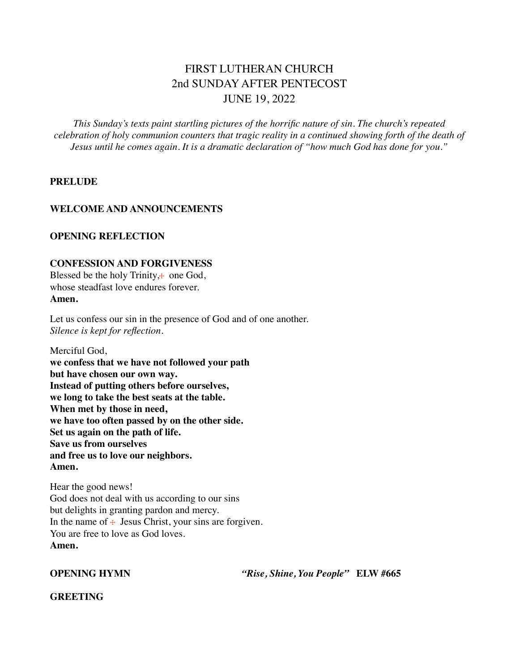# FIRST LUTHERAN CHURCH 2nd SUNDAY AFTER PENTECOST JUNE 19, 2022

*This Sunday's texts paint startling pictures of the horrific nature of sin. The church's repeated celebration of holy communion counters that tragic reality in a continued showing forth of the death of Jesus until he comes again. It is a dramatic declaration of "how much God has done for you."*

## **PRELUDE**

## **WELCOME AND ANNOUNCEMENTS**

### **OPENING REFLECTION**

## **CONFESSION AND FORGIVENESS**

Blessed be the holy Trinity, $<sub>+</sub>$  one God,</sub> whose steadfast love endures forever. **Amen.**

Let us confess our sin in the presence of God and of one another. *Silence is kept for reflection.*

Merciful God, **we confess that we have not followed your path but have chosen our own way. Instead of putting others before ourselves, we long to take the best seats at the table. When met by those in need, we have too often passed by on the other side. Set us again on the path of life. Save us from ourselves and free us to love our neighbors. Amen.**

Hear the good news! God does not deal with us according to our sins but delights in granting pardon and mercy. In the name of  $\div$  Jesus Christ, your sins are forgiven. You are free to love as God loves. **Amen.**

**OPENING HYMN** *"Rise, Shine, You People"* **ELW #665**

**GREETING**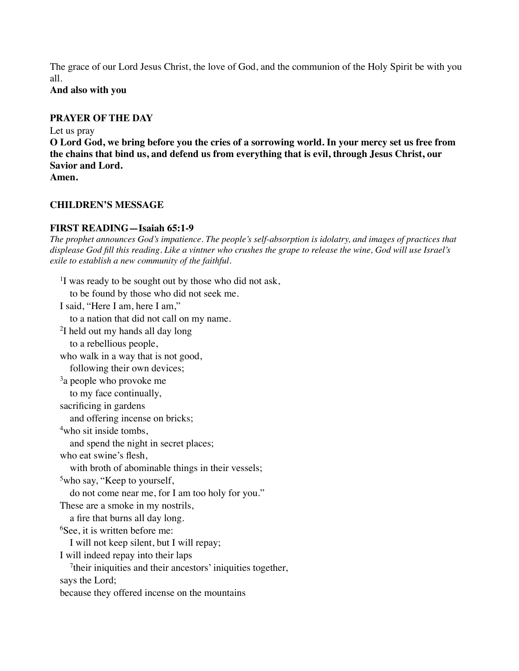The grace of our Lord Jesus Christ, the love of God, and the communion of the Holy Spirit be with you all.

**And also with you** 

## **PRAYER OF THE DAY**

Let us pray

**O Lord God, we bring before you the cries of a sorrowing world. In your mercy set us free from the chains that bind us, and defend us from everything that is evil, through Jesus Christ, our Savior and Lord.**

**Amen.**

## **CHILDREN'S MESSAGE**

## **FIRST READING—Isaiah 65:1-9**

*The prophet announces God's impatience. The people's self-absorption is idolatry, and images of practices that displease God fill this reading. Like a vintner who crushes the grape to release the wine, God will use Israel's exile to establish a new community of the faithful.*

<sup>1</sup>I was ready to be sought out by those who did not ask, to be found by those who did not seek me. I said, "Here I am, here I am," to a nation that did not call on my name. 2I held out my hands all day long to a rebellious people, who walk in a way that is not good, following their own devices; <sup>3</sup>a people who provoke me to my face continually, sacrificing in gardens and offering incense on bricks; <sup>4</sup>who sit inside tombs. and spend the night in secret places; who eat swine's flesh, with broth of abominable things in their vessels; <sup>5</sup>who say, "Keep to yourself, do not come near me, for I am too holy for you." These are a smoke in my nostrils, a fire that burns all day long. 6 See, it is written before me: I will not keep silent, but I will repay; I will indeed repay into their laps <sup>7</sup>their iniquities and their ancestors' iniquities together, says the Lord; because they offered incense on the mountains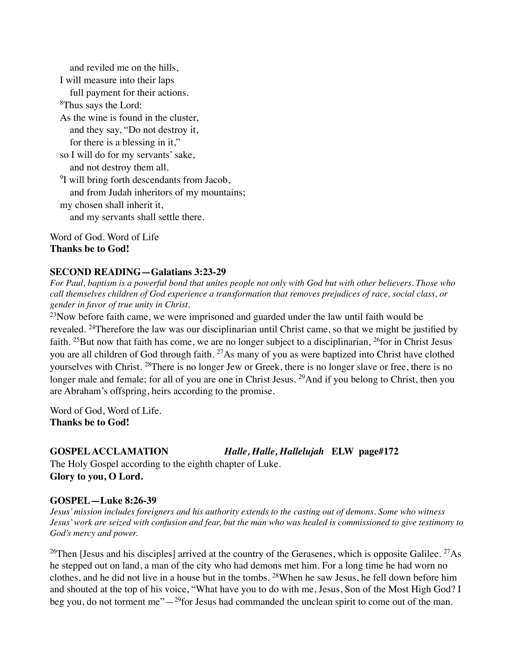and reviled me on the hills, I will measure into their laps full payment for their actions. 8Thus says the Lord: As the wine is found in the cluster, and they say, "Do not destroy it, for there is a blessing in it," so I will do for my servants' sake, and not destroy them all. <sup>9</sup>I will bring forth descendants from Jacob, and from Judah inheritors of my mountains; my chosen shall inherit it, and my servants shall settle there. Word of God. Word of Life

**Thanks be to God!**

## **SECOND READING—Galatians 3:23-29**

*For Paul, baptism is a powerful bond that unites people not only with God but with other believers. Those who call themselves children of God experience a transformation that removes prejudices of race, social class, or gender in favor of true unity in Christ.*

 $^{23}$ Now before faith came, we were imprisoned and guarded under the law until faith would be revealed. 24Therefore the law was our disciplinarian until Christ came, so that we might be justified by faith. <sup>25</sup>But now that faith has come, we are no longer subject to a disciplinarian, <sup>26</sup>for in Christ Jesus you are all children of God through faith. <sup>27</sup>As many of you as were baptized into Christ have clothed yourselves with Christ. 28There is no longer Jew or Greek, there is no longer slave or free, there is no longer male and female; for all of you are one in Christ Jesus. <sup>29</sup>And if you belong to Christ, then you are Abraham's offspring, heirs according to the promise.

Word of God, Word of Life. **Thanks be to God!**

**GOSPEL ACCLAMATION** *Halle, Halle, Hallelujah* **ELW page#172**

The Holy Gospel according to the eighth chapter of Luke. **Glory to you, O Lord.**

## **GOSPEL—Luke 8:26-39**

*Jesus' mission includes foreigners and his authority extends to the casting out of demons. Some who witness Jesus' work are seized with confusion and fear, but the man who was healed is commissioned to give testimony to God's mercy and power.*

<sup>26</sup>Then [Jesus and his disciples] arrived at the country of the Gerasenes, which is opposite Galilee. <sup>27</sup>As he stepped out on land, a man of the city who had demons met him. For a long time he had worn no clothes, and he did not live in a house but in the tombs. 28When he saw Jesus, he fell down before him and shouted at the top of his voice, "What have you to do with me, Jesus, Son of the Most High God? I beg you, do not torment me" $-29$  for Jesus had commanded the unclean spirit to come out of the man.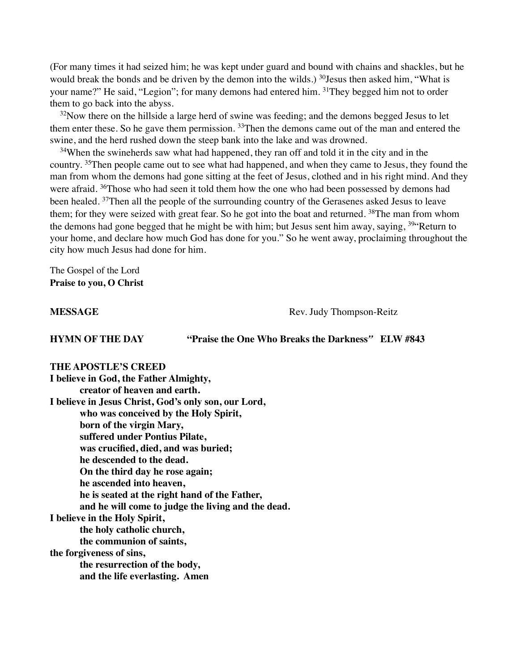(For many times it had seized him; he was kept under guard and bound with chains and shackles, but he would break the bonds and be driven by the demon into the wilds.) <sup>30</sup>Jesus then asked him, "What is your name?" He said, "Legion"; for many demons had entered him. 3<sup>1</sup>They begged him not to order them to go back into the abyss.

<sup>32</sup>Now there on the hillside a large herd of swine was feeding; and the demons begged Jesus to let them enter these. So he gave them permission. <sup>33</sup>Then the demons came out of the man and entered the swine, and the herd rushed down the steep bank into the lake and was drowned.

<sup>34</sup>When the swineherds saw what had happened, they ran off and told it in the city and in the country. <sup>35</sup>Then people came out to see what had happened, and when they came to Jesus, they found the man from whom the demons had gone sitting at the feet of Jesus, clothed and in his right mind. And they were afraid. <sup>36</sup>Those who had seen it told them how the one who had been possessed by demons had been healed. <sup>37</sup>Then all the people of the surrounding country of the Gerasenes asked Jesus to leave them; for they were seized with great fear. So he got into the boat and returned. <sup>38</sup>The man from whom the demons had gone begged that he might be with him; but Jesus sent him away, saying,  $39$ <sup>44</sup>Return to your home, and declare how much God has done for you." So he went away, proclaiming throughout the city how much Jesus had done for him.

The Gospel of the Lord **Praise to you, O Christ**

**MESSAGE** Rev. Judy Thompson-Reitz

**HYMN OF THE DAY "Praise the One Who Breaks the Darkness***"* **ELW #843**

## **THE APOSTLE'S CREED I believe in God, the Father Almighty, creator of heaven and earth. I believe in Jesus Christ, God's only son, our Lord, who was conceived by the Holy Spirit, born of the virgin Mary, suffered under Pontius Pilate, was crucified, died, and was buried; he descended to the dead. On the third day he rose again; he ascended into heaven, he is seated at the right hand of the Father, and he will come to judge the living and the dead. I believe in the Holy Spirit, the holy catholic church, the communion of saints, the forgiveness of sins, the resurrection of the body, and the life everlasting. Amen**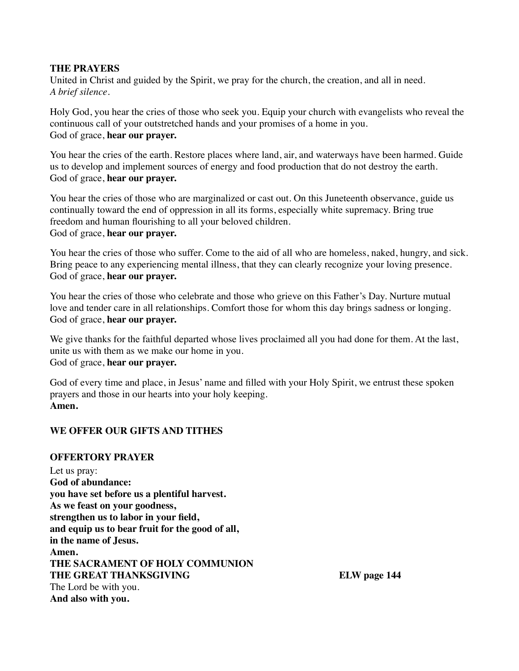## **THE PRAYERS**

United in Christ and guided by the Spirit, we pray for the church, the creation, and all in need. *A brief silence.*

Holy God, you hear the cries of those who seek you. Equip your church with evangelists who reveal the continuous call of your outstretched hands and your promises of a home in you. God of grace, **hear our prayer.**

You hear the cries of the earth. Restore places where land, air, and waterways have been harmed. Guide us to develop and implement sources of energy and food production that do not destroy the earth. God of grace, **hear our prayer.**

You hear the cries of those who are marginalized or cast out. On this Juneteenth observance, guide us continually toward the end of oppression in all its forms, especially white supremacy. Bring true freedom and human flourishing to all your beloved children. God of grace, **hear our prayer.**

You hear the cries of those who suffer. Come to the aid of all who are homeless, naked, hungry, and sick. Bring peace to any experiencing mental illness, that they can clearly recognize your loving presence. God of grace, **hear our prayer.**

You hear the cries of those who celebrate and those who grieve on this Father's Day. Nurture mutual love and tender care in all relationships. Comfort those for whom this day brings sadness or longing. God of grace, **hear our prayer.**

We give thanks for the faithful departed whose lives proclaimed all you had done for them. At the last, unite us with them as we make our home in you. God of grace, **hear our prayer.**

God of every time and place, in Jesus' name and filled with your Holy Spirit, we entrust these spoken prayers and those in our hearts into your holy keeping. **Amen.**

## **WE OFFER OUR GIFTS AND TITHES**

## **OFFERTORY PRAYER**

Let us pray: **God of abundance: you have set before us a plentiful harvest. As we feast on your goodness, strengthen us to labor in your field, and equip us to bear fruit for the good of all, in the name of Jesus. Amen. THE SACRAMENT OF HOLY COMMUNION THE GREAT THANKSGIVING ELW page 144** The Lord be with you. **And also with you.**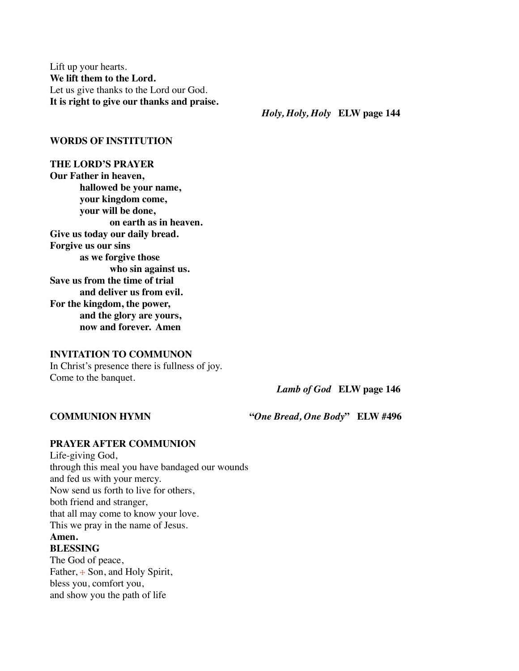Lift up your hearts. **We lift them to the Lord.** Let us give thanks to the Lord our God. **It is right to give our thanks and praise.**

 *Holy, Holy, Holy* **ELW page 144**

### **WORDS OF INSTITUTION**

**THE LORD'S PRAYER Our Father in heaven, hallowed be your name, your kingdom come, your will be done, on earth as in heaven. Give us today our daily bread. Forgive us our sins as we forgive those who sin against us. Save us from the time of trial and deliver us from evil. For the kingdom, the power, and the glory are yours, now and forever. Amen**

#### **INVITATION TO COMMUNON**

In Christ's presence there is fullness of joy. Come to the banquet.

 *Lamb of God* **ELW page 146**

**COMMUNION HYMN "***One Bread, One Body***" ELW #496**

## **PRAYER AFTER COMMUNION**

Life-giving God, through this meal you have bandaged our wounds and fed us with your mercy. Now send us forth to live for others, both friend and stranger, that all may come to know your love. This we pray in the name of Jesus. **Amen. BLESSING**

The God of peace, Father,  $\pm$  Son, and Holy Spirit, bless you, comfort you, and show you the path of life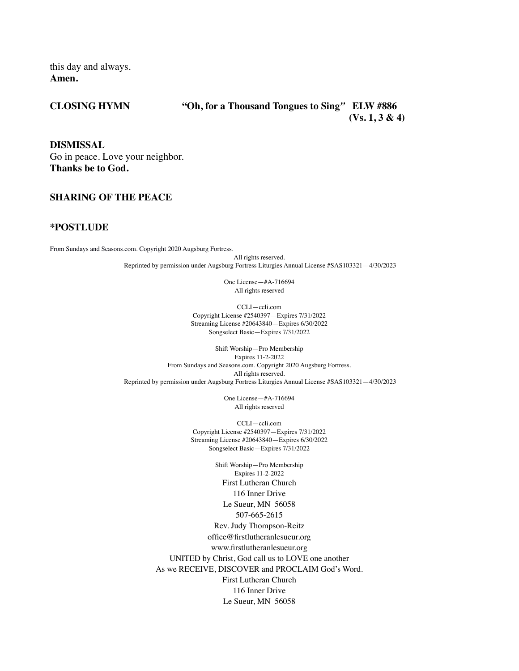this day and always. **Amen.**

#### **CLOSING HYMN "Oh, for a Thousand Tongues to Sing***"* **ELW #886 (Vs. 1, 3 & 4)**

**DISMISSAL**  Go in peace. Love your neighbor. **Thanks be to God.**

### **SHARING OF THE PEACE**

#### **\*POSTLUDE**

From Sundays and Seasons.com. Copyright 2020 Augsburg Fortress.

All rights reserved. Reprinted by permission under Augsburg Fortress Liturgies Annual License #SAS103321—4/30/2023

> One License—#A-716694 All rights reserved

CCLI—ccli.com Copyright License #2540397—Expires 7/31/2022 Streaming License #20643840—Expires 6/30/2022 Songselect Basic—Expires 7/31/2022

Shift Worship—Pro Membership Expires 11-2-2022 From Sundays and Seasons.com. Copyright 2020 Augsburg Fortress. All rights reserved. Reprinted by permission under Augsburg Fortress Liturgies Annual License #SAS103321—4/30/2023

> One License—#A-716694 All rights reserved

CCLI—ccli.com Copyright License #2540397—Expires 7/31/2022 Streaming License #20643840—Expires 6/30/2022 Songselect Basic—Expires 7/31/2022

Shift Worship—Pro Membership Expires 11-2-2022 First Lutheran Church 116 Inner Drive Le Sueur, MN 56058 507-665-2615 Rev. Judy Thompson-Reitz office@firstlutheranlesueur.org www.firstlutheranlesueur.org UNITED by Christ, God call us to LOVE one another As we RECEIVE, DISCOVER and PROCLAIM God's Word. First Lutheran Church 116 Inner Drive Le Sueur, MN 56058